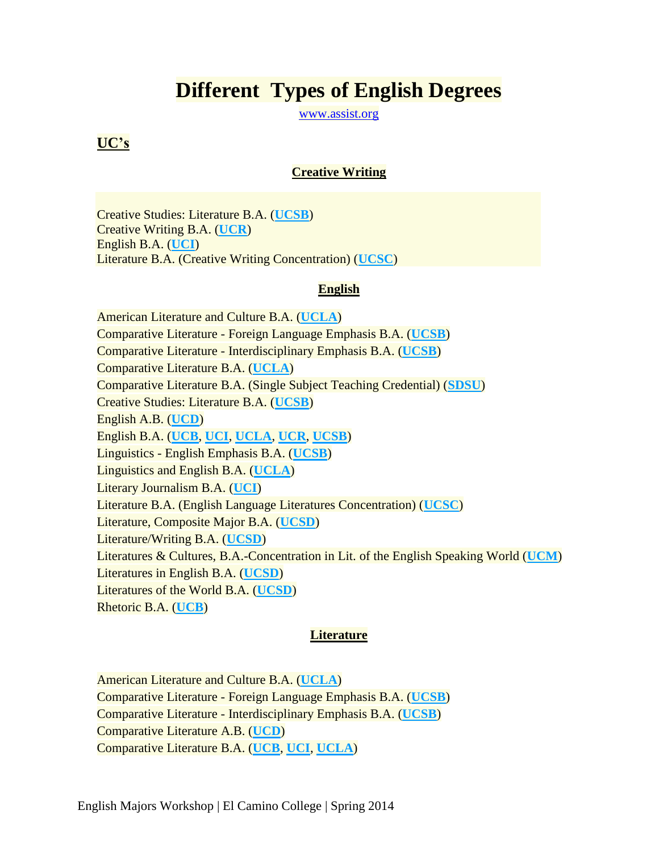# **Different Types of English Degrees**

[www.assist.org](http://www.assist.org/)

## **UC's**

#### **Creative Writing**

Creative Studies: Literature B.A. (**[UCSB](http://www2.assist.org/exploring-majors/findMajorDescription.do?abbrev=UCSB&majorId=360&type=UC)**) Creative Writing B.A. (**[UCR](http://www2.assist.org/exploring-majors/findMajorDescription.do?abbrev=UCR&majorId=596&type=UC)**) English B.A. (**[UCI](http://www2.assist.org/exploring-majors/findMajorDescription.do?abbrev=UCI&majorId=861&type=UC)**) Literature B.A. (Creative Writing Concentration) (**[UCSC](http://www2.assist.org/exploring-majors/findMajorDescription.do?abbrev=UCSC&majorId=149&type=UC)**)

#### **English**

American Literature and Culture B.A. (**[UCLA](http://www2.assist.org/exploring-majors/findMajorDescription.do?abbrev=UCLA&majorId=665&type=UC)**) Comparative Literature - Foreign Language Emphasis B.A. (**[UCSB](http://www2.assist.org/exploring-majors/findMajorDescription.do?abbrev=UCSB&majorId=240&type=UC)**) Comparative Literature - Interdisciplinary Emphasis B.A. (**[UCSB](http://www2.assist.org/exploring-majors/findMajorDescription.do?abbrev=UCSB&majorId=241&type=UC)**) Comparative Literature B.A. (**[UCLA](http://www2.assist.org/exploring-majors/findMajorDescription.do?abbrev=UCLA&majorId=687&type=UC)**) Comparative Literature B.A. (Single Subject Teaching Credential) (**[SDSU](http://www2.assist.org/exploring-majors/findMajorDescription.do?abbrev=SDSU&majorId=2000000007633&type=CSU)**) Creative Studies: Literature B.A. (**[UCSB](http://www2.assist.org/exploring-majors/findMajorDescription.do?abbrev=UCSB&majorId=360&type=UC)**) English A.B. (**[UCD](http://www2.assist.org/exploring-majors/findMajorDescription.do?abbrev=UCD&majorId=457&type=UC)**) English B.A. (**[UCB](http://www2.assist.org/exploring-majors/findMajorDescription.do?abbrev=UCB&majorId=113&type=UC)**, **[UCI](http://www2.assist.org/exploring-majors/findMajorDescription.do?abbrev=UCI&majorId=861&type=UC)**, **[UCLA](http://www2.assist.org/exploring-majors/findMajorDescription.do?abbrev=UCLA&majorId=694&type=UC)**, **[UCR](http://www2.assist.org/exploring-majors/findMajorDescription.do?abbrev=UCR&majorId=601&type=UC)**, **[UCSB](http://www2.assist.org/exploring-majors/findMajorDescription.do?abbrev=UCSB&majorId=262&type=UC)**) Linguistics - English Emphasis B.A. (**[UCSB](http://www2.assist.org/exploring-majors/findMajorDescription.do?abbrev=UCSB&majorId=308&type=UC)**) Linguistics and English B.A. (**[UCLA](http://www2.assist.org/exploring-majors/findMajorDescription.do?abbrev=UCLA&majorId=726&type=UC)**) Literary Journalism B.A. (**[UCI](http://www2.assist.org/exploring-majors/findMajorDescription.do?abbrev=UCI&majorId=870&type=UC)**) Literature B.A. (English Language Literatures Concentration) (**[UCSC](http://www2.assist.org/exploring-majors/findMajorDescription.do?abbrev=UCSC&majorId=148&type=UC)**) Literature, Composite Major B.A. (**[UCSD](http://www2.assist.org/exploring-majors/findMajorDescription.do?abbrev=UCSD&majorId=443&type=UC)**) Literature/Writing B.A. (**[UCSD](http://www2.assist.org/exploring-majors/findMajorDescription.do?abbrev=UCSD&majorId=455&type=UC)**) Literatures & Cultures, B.A.-Concentration in Lit. of the English Speaking World (**[UCM](http://www2.assist.org/exploring-majors/findMajorDescription.do?abbrev=UCM&majorId=2000000007801&type=UC)**) Literatures in English B.A. (**[UCSD](http://www2.assist.org/exploring-majors/findMajorDescription.do?abbrev=UCSD&majorId=444&type=UC)**) Literatures of the World B.A. (**[UCSD](http://www2.assist.org/exploring-majors/findMajorDescription.do?abbrev=UCSD&majorId=458&type=UC)**) Rhetoric B.A. (**[UCB](http://www2.assist.org/exploring-majors/findMajorDescription.do?abbrev=UCB&majorId=245&type=UC)**)

#### **Literature**

American Literature and Culture B.A. (**[UCLA](http://www2.assist.org/exploring-majors/findMajorDescription.do?abbrev=UCLA&majorId=665&type=UC)**) Comparative Literature - Foreign Language Emphasis B.A. (**[UCSB](http://www2.assist.org/exploring-majors/findMajorDescription.do?abbrev=UCSB&majorId=240&type=UC)**) Comparative Literature - Interdisciplinary Emphasis B.A. (**[UCSB](http://www2.assist.org/exploring-majors/findMajorDescription.do?abbrev=UCSB&majorId=241&type=UC)**) Comparative Literature A.B. (**[UCD](http://www2.assist.org/exploring-majors/findMajorDescription.do?abbrev=UCD&majorId=449&type=UC)**) Comparative Literature B.A. (**[UCB](http://www2.assist.org/exploring-majors/findMajorDescription.do?abbrev=UCB&majorId=94&type=UC)**, **[UCI](http://www2.assist.org/exploring-majors/findMajorDescription.do?abbrev=UCI&majorId=859&type=UC)**, **[UCLA](http://www2.assist.org/exploring-majors/findMajorDescription.do?abbrev=UCLA&majorId=687&type=UC)**)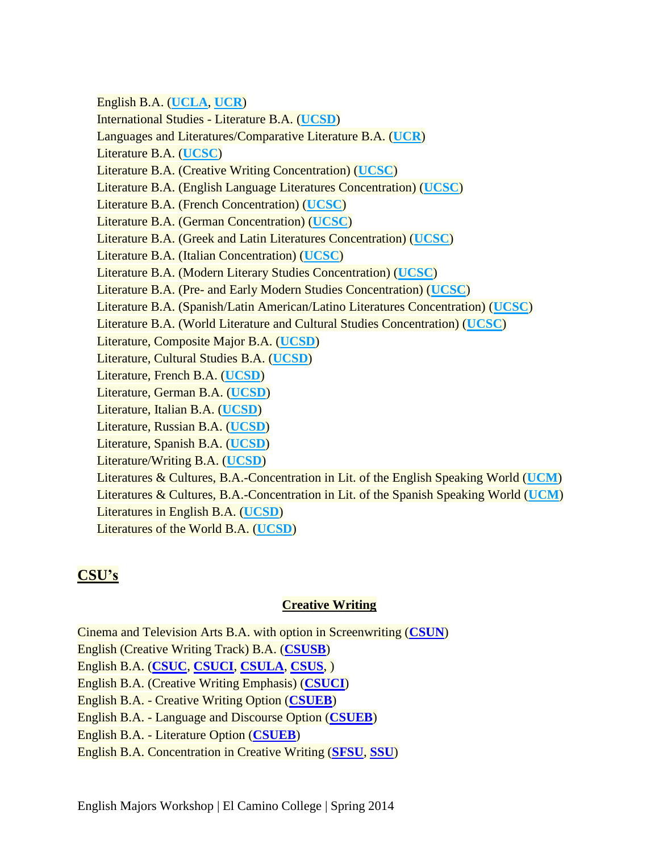English B.A. (**[UCLA](http://www2.assist.org/exploring-majors/findMajorDescription.do?abbrev=UCLA&majorId=694&type=UC)**, **[UCR](http://www2.assist.org/exploring-majors/findMajorDescription.do?abbrev=UCR&majorId=601&type=UC)**) International Studies - Literature B.A. (**[UCSD](http://www2.assist.org/exploring-majors/findMajorDescription.do?abbrev=UCSD&majorId=429&type=UC)**) Languages and Literatures/Comparative Literature B.A. (**[UCR](http://www2.assist.org/exploring-majors/findMajorDescription.do?abbrev=UCR&majorId=595&type=UC)**) Literature B.A. (**[UCSC](http://www2.assist.org/exploring-majors/findMajorDescription.do?abbrev=UCSC&majorId=147&type=UC)**) Literature B.A. (Creative Writing Concentration) (**[UCSC](http://www2.assist.org/exploring-majors/findMajorDescription.do?abbrev=UCSC&majorId=149&type=UC)**) Literature B.A. (English Language Literatures Concentration) (**[UCSC](http://www2.assist.org/exploring-majors/findMajorDescription.do?abbrev=UCSC&majorId=148&type=UC)**) Literature B.A. (French Concentration) (**[UCSC](http://www2.assist.org/exploring-majors/findMajorDescription.do?abbrev=UCSC&majorId=150&type=UC)**) Literature B.A. (German Concentration) (**[UCSC](http://www2.assist.org/exploring-majors/findMajorDescription.do?abbrev=UCSC&majorId=151&type=UC)**) Literature B.A. (Greek and Latin Literatures Concentration) (**[UCSC](http://www2.assist.org/exploring-majors/findMajorDescription.do?abbrev=UCSC&majorId=154&type=UC)**) Literature B.A. (Italian Concentration) (**[UCSC](http://www2.assist.org/exploring-majors/findMajorDescription.do?abbrev=UCSC&majorId=155&type=UC)**) Literature B.A. (Modern Literary Studies Concentration) (**[UCSC](http://www2.assist.org/exploring-majors/findMajorDescription.do?abbrev=UCSC&majorId=157&type=UC)**) Literature B.A. (Pre- and Early Modern Studies Concentration) (**[UCSC](http://www2.assist.org/exploring-majors/findMajorDescription.do?abbrev=UCSC&majorId=160&type=UC)**) Literature B.A. (Spanish/Latin American/Latino Literatures Concentration) (**[UCSC](http://www2.assist.org/exploring-majors/findMajorDescription.do?abbrev=UCSC&majorId=162&type=UC)**) Literature B.A. (World Literature and Cultural Studies Concentration) (**[UCSC](http://www2.assist.org/exploring-majors/findMajorDescription.do?abbrev=UCSC&majorId=164&type=UC)**) Literature, Composite Major B.A. (**[UCSD](http://www2.assist.org/exploring-majors/findMajorDescription.do?abbrev=UCSD&majorId=443&type=UC)**) Literature, Cultural Studies B.A. (**[UCSD](http://www2.assist.org/exploring-majors/findMajorDescription.do?abbrev=UCSD&majorId=2500000007881&type=UC)**) Literature, French B.A. (**[UCSD](http://www2.assist.org/exploring-majors/findMajorDescription.do?abbrev=UCSD&majorId=445&type=UC)**) Literature, German B.A. (**[UCSD](http://www2.assist.org/exploring-majors/findMajorDescription.do?abbrev=UCSD&majorId=446&type=UC)**) Literature, Italian B.A. (**[UCSD](http://www2.assist.org/exploring-majors/findMajorDescription.do?abbrev=UCSD&majorId=447&type=UC)**) Literature, Russian B.A. (**[UCSD](http://www2.assist.org/exploring-majors/findMajorDescription.do?abbrev=UCSD&majorId=450&type=UC)**) Literature, Spanish B.A. (**[UCSD](http://www2.assist.org/exploring-majors/findMajorDescription.do?abbrev=UCSD&majorId=453&type=UC)**) Literature/Writing B.A. (**[UCSD](http://www2.assist.org/exploring-majors/findMajorDescription.do?abbrev=UCSD&majorId=455&type=UC)**) Literatures & Cultures, B.A.-Concentration in Lit. of the English Speaking World (**[UCM](http://www2.assist.org/exploring-majors/findMajorDescription.do?abbrev=UCM&majorId=2000000007801&type=UC)**) Literatures & Cultures, B.A.-Concentration in Lit. of the Spanish Speaking World (**[UCM](http://www2.assist.org/exploring-majors/findMajorDescription.do?abbrev=UCM&majorId=2000000007802&type=UC)**) Literatures in English B.A. (**[UCSD](http://www2.assist.org/exploring-majors/findMajorDescription.do?abbrev=UCSD&majorId=444&type=UC)**) Literatures of the World B.A. (**[UCSD](http://www2.assist.org/exploring-majors/findMajorDescription.do?abbrev=UCSD&majorId=458&type=UC)**)

## **CSU's**

## **Creative Writing**

Cinema and Television Arts B.A. with option in Screenwriting (**[CSUN](http://www2.assist.org/exploring-majors/findMajorDescription.do?abbrev=CSUN&majorId=2500000008179&type=CSU)**) English (Creative Writing Track) B.A. (**[CSUSB](http://www2.assist.org/exploring-majors/findMajorDescription.do?abbrev=CSUSB&majorId=500000006456&type=CSU)**) English B.A. (**[CSUC](http://www2.assist.org/exploring-majors/findMajorDescription.do?abbrev=CSUC&majorId=500000006946&type=CSU)**, **[CSUCI](http://www2.assist.org/exploring-majors/findMajorDescription.do?abbrev=CSUCI&majorId=500000007023&type=CSU)**, **[CSULA](http://www2.assist.org/exploring-majors/findMajorDescription.do?abbrev=CSULA&majorId=500000006380&type=CSU)**, **[CSUS](http://www2.assist.org/exploring-majors/findMajorDescription.do?abbrev=CSUS&majorId=500000006852&type=CSU)**, ) English B.A. (Creative Writing Emphasis) (**[CSUCI](http://www2.assist.org/exploring-majors/findMajorDescription.do?abbrev=CSUCI&majorId=1500000007590&type=CSU)**) English B.A. - Creative Writing Option (**[CSUEB](http://www2.assist.org/exploring-majors/findMajorDescription.do?abbrev=CSUEB&majorId=500000006022&type=CSU)**) English B.A. - Language and Discourse Option (**[CSUEB](http://www2.assist.org/exploring-majors/findMajorDescription.do?abbrev=CSUEB&majorId=2500000008227&type=CSU)**) English B.A. - Literature Option (**[CSUEB](http://www2.assist.org/exploring-majors/findMajorDescription.do?abbrev=CSUEB&majorId=2500000008228&type=CSU)**) English B.A. Concentration in Creative Writing (**[SFSU](http://www2.assist.org/exploring-majors/findMajorDescription.do?abbrev=SFSU&majorId=500000006600&type=CSU)**, **[SSU](http://www2.assist.org/exploring-majors/findMajorDescription.do?abbrev=SSU&majorId=500000006525&type=CSU)**)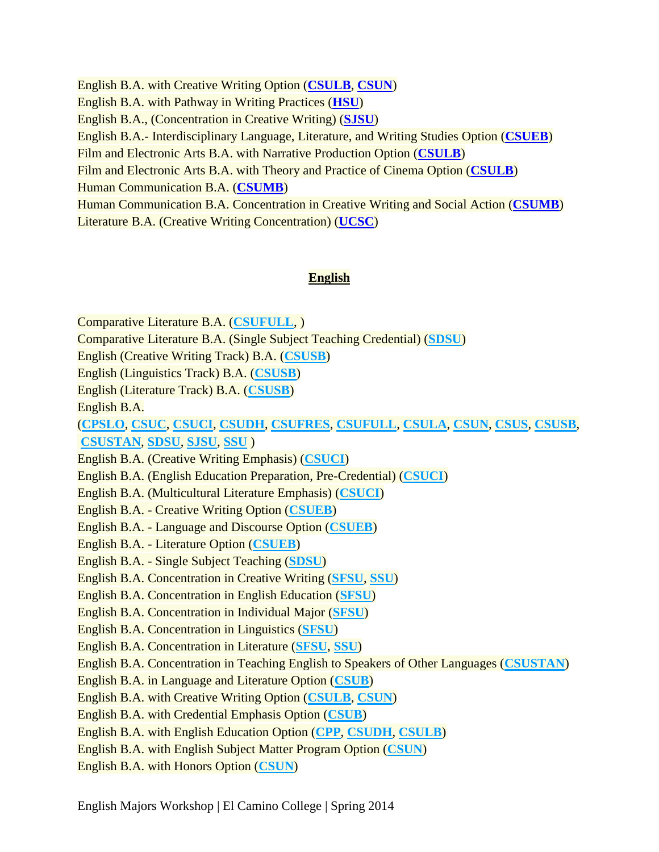English B.A. with Creative Writing Option (**[CSULB](http://www2.assist.org/exploring-majors/findMajorDescription.do?abbrev=CSULB&majorId=500000007087&type=CSU)**, **[CSUN](http://www2.assist.org/exploring-majors/findMajorDescription.do?abbrev=CSUN&majorId=500000006285&type=CSU)**) English B.A. with Pathway in Writing Practices (**[HSU](http://www2.assist.org/exploring-majors/findMajorDescription.do?abbrev=HSU&majorId=2000000007789&type=CSU)**) English B.A., (Concentration in Creative Writing) (**[SJSU](http://www2.assist.org/exploring-majors/findMajorDescription.do?abbrev=SJSU&majorId=2500000007985&type=CSU)**) English B.A.- Interdisciplinary Language, Literature, and Writing Studies Option (**[CSUEB](http://www2.assist.org/exploring-majors/findMajorDescription.do?abbrev=CSUEB&majorId=2500000008226&type=CSU)**) Film and Electronic Arts B.A. with Narrative Production Option (**[CSULB](http://www2.assist.org/exploring-majors/findMajorDescription.do?abbrev=CSULB&majorId=500000007675&type=CSU)**) Film and Electronic Arts B.A. with Theory and Practice of Cinema Option (**[CSULB](http://www2.assist.org/exploring-majors/findMajorDescription.do?abbrev=CSULB&majorId=500000007674&type=CSU)**) Human Communication B.A. (**[CSUMB](http://www2.assist.org/exploring-majors/findMajorDescription.do?abbrev=CSUMB&majorId=500000005988&type=CSU)**) Human Communication B.A. Concentration in Creative Writing and Social Action (**[CSUMB](http://www2.assist.org/exploring-majors/findMajorDescription.do?abbrev=CSUMB&majorId=500000007727&type=CSU)**) Literature B.A. (Creative Writing Concentration) (**[UCSC](http://www2.assist.org/exploring-majors/findMajorDescription.do?abbrev=UCSC&majorId=149&type=UC)**)

#### **English**

Comparative Literature B.A. (**[CSUFULL](http://www2.assist.org/exploring-majors/findMajorDescription.do?abbrev=CSUFULL&majorId=500000006700&type=CSU)**, )

Comparative Literature B.A. (Single Subject Teaching Credential) (**[SDSU](http://www2.assist.org/exploring-majors/findMajorDescription.do?abbrev=SDSU&majorId=2000000007633&type=CSU)**)

English (Creative Writing Track) B.A. (**[CSUSB](http://www2.assist.org/exploring-majors/findMajorDescription.do?abbrev=CSUSB&majorId=500000006456&type=CSU)**)

English (Linguistics Track) B.A. (**[CSUSB](http://www2.assist.org/exploring-majors/findMajorDescription.do?abbrev=CSUSB&majorId=500000006483&type=CSU)**)

English (Literature Track) B.A. (**[CSUSB](http://www2.assist.org/exploring-majors/findMajorDescription.do?abbrev=CSUSB&majorId=500000006484&type=CSU)**)

English B.A.

(**[CPSLO](http://www2.assist.org/exploring-majors/findMajorDescription.do?abbrev=CPSLO&majorId=500000005934&type=CSU)**, **[CSUC](http://www2.assist.org/exploring-majors/findMajorDescription.do?abbrev=CSUC&majorId=500000006946&type=CSU)**, **[CSUCI](http://www2.assist.org/exploring-majors/findMajorDescription.do?abbrev=CSUCI&majorId=500000007023&type=CSU)**, **[CSUDH](http://www2.assist.org/exploring-majors/findMajorDescription.do?abbrev=CSUDH&majorId=500000007468&type=CSU)**, **[CSUFRES](http://www2.assist.org/exploring-majors/findMajorDescription.do?abbrev=CSUFRES&majorId=500000006206&type=CSU)**, **[CSUFULL](http://www2.assist.org/exploring-majors/findMajorDescription.do?abbrev=CSUFULL&majorId=500000006709&type=CSU)**, **[CSULA](http://www2.assist.org/exploring-majors/findMajorDescription.do?abbrev=CSULA&majorId=500000006380&type=CSU)**, **[CSUN](http://www2.assist.org/exploring-majors/findMajorDescription.do?abbrev=CSUN&majorId=500000006292&type=CSU)**, **[CSUS](http://www2.assist.org/exploring-majors/findMajorDescription.do?abbrev=CSUS&majorId=500000006852&type=CSU)**, **[CSUSB](http://www2.assist.org/exploring-majors/findMajorDescription.do?abbrev=CSUSB&majorId=500000006461&type=CSU)**, **[CSUSTAN](http://www2.assist.org/exploring-majors/findMajorDescription.do?abbrev=CSUSTAN&majorId=500000006786&type=CSU)**, **[SDSU](http://www2.assist.org/exploring-majors/findMajorDescription.do?abbrev=SDSU&majorId=500000006108&type=CSU)**, **[SJSU](http://www2.assist.org/exploring-majors/findMajorDescription.do?abbrev=SJSU&majorId=500000007238&type=CSU)**, **[SSU](http://www2.assist.org/exploring-majors/findMajorDescription.do?abbrev=SSU&majorId=500000006531&type=CSU)** )

English B.A. (Creative Writing Emphasis) (**[CSUCI](http://www2.assist.org/exploring-majors/findMajorDescription.do?abbrev=CSUCI&majorId=1500000007590&type=CSU)**)

English B.A. (English Education Preparation, Pre-Credential) (**[CSUCI](http://www2.assist.org/exploring-majors/findMajorDescription.do?abbrev=CSUCI&majorId=1500000007592&type=CSU)**)

English B.A. (Multicultural Literature Emphasis) (**[CSUCI](http://www2.assist.org/exploring-majors/findMajorDescription.do?abbrev=CSUCI&majorId=1500000007591&type=CSU)**)

English B.A. - Creative Writing Option (**[CSUEB](http://www2.assist.org/exploring-majors/findMajorDescription.do?abbrev=CSUEB&majorId=500000006022&type=CSU)**)

English B.A. - Language and Discourse Option (**[CSUEB](http://www2.assist.org/exploring-majors/findMajorDescription.do?abbrev=CSUEB&majorId=2500000008227&type=CSU)**)

English B.A. - Literature Option (**[CSUEB](http://www2.assist.org/exploring-majors/findMajorDescription.do?abbrev=CSUEB&majorId=2500000008228&type=CSU)**)

English B.A. - Single Subject Teaching (**[SDSU](http://www2.assist.org/exploring-majors/findMajorDescription.do?abbrev=SDSU&majorId=500000008226&type=CSU)**)

English B.A. Concentration in Creative Writing (**[SFSU](http://www2.assist.org/exploring-majors/findMajorDescription.do?abbrev=SFSU&majorId=500000006600&type=CSU)**, **[SSU](http://www2.assist.org/exploring-majors/findMajorDescription.do?abbrev=SSU&majorId=500000006525&type=CSU)**)

English B.A. Concentration in English Education (**[SFSU](http://www2.assist.org/exploring-majors/findMajorDescription.do?abbrev=SFSU&majorId=2500000007940&type=CSU)**)

English B.A. Concentration in Individual Major (**[SFSU](http://www2.assist.org/exploring-majors/findMajorDescription.do?abbrev=SFSU&majorId=500000007927&type=CSU)**)

English B.A. Concentration in Linguistics (**[SFSU](http://www2.assist.org/exploring-majors/findMajorDescription.do?abbrev=SFSU&majorId=500000006638&type=CSU)**)

English B.A. Concentration in Literature (**[SFSU](http://www2.assist.org/exploring-majors/findMajorDescription.do?abbrev=SFSU&majorId=500000006640&type=CSU)**, **[SSU](http://www2.assist.org/exploring-majors/findMajorDescription.do?abbrev=SSU&majorId=500000006549&type=CSU)**)

English B.A. Concentration in Teaching English to Speakers of Other Languages (**[CSUSTAN](http://www2.assist.org/exploring-majors/findMajorDescription.do?abbrev=CSUSTAN&majorId=500000007809&type=CSU)**)

English B.A. in Language and Literature Option (**[CSUB](http://www2.assist.org/exploring-majors/findMajorDescription.do?abbrev=CSUB&majorId=500000007178&type=CSU)**)

English B.A. with Creative Writing Option (**[CSULB](http://www2.assist.org/exploring-majors/findMajorDescription.do?abbrev=CSULB&majorId=500000007087&type=CSU)**, **[CSUN](http://www2.assist.org/exploring-majors/findMajorDescription.do?abbrev=CSUN&majorId=500000006285&type=CSU)**)

English B.A. with Credential Emphasis Option (**[CSUB](http://www2.assist.org/exploring-majors/findMajorDescription.do?abbrev=CSUB&majorId=2500000008357&type=CSU)**)

English B.A. with English Education Option (**[CPP](http://www2.assist.org/exploring-majors/findMajorDescription.do?abbrev=CPP&majorId=500000007399&type=CSU)**, **[CSUDH](http://www2.assist.org/exploring-majors/findMajorDescription.do?abbrev=CSUDH&majorId=2500000007990&type=CSU)**, **[CSULB](http://www2.assist.org/exploring-majors/findMajorDescription.do?abbrev=CSULB&majorId=500000007717&type=CSU)**)

English B.A. with English Subject Matter Program Option (**[CSUN](http://www2.assist.org/exploring-majors/findMajorDescription.do?abbrev=CSUN&majorId=500000007971&type=CSU)**)

English B.A. with Honors Option (**[CSUN](http://www2.assist.org/exploring-majors/findMajorDescription.do?abbrev=CSUN&majorId=2500000008169&type=CSU)**)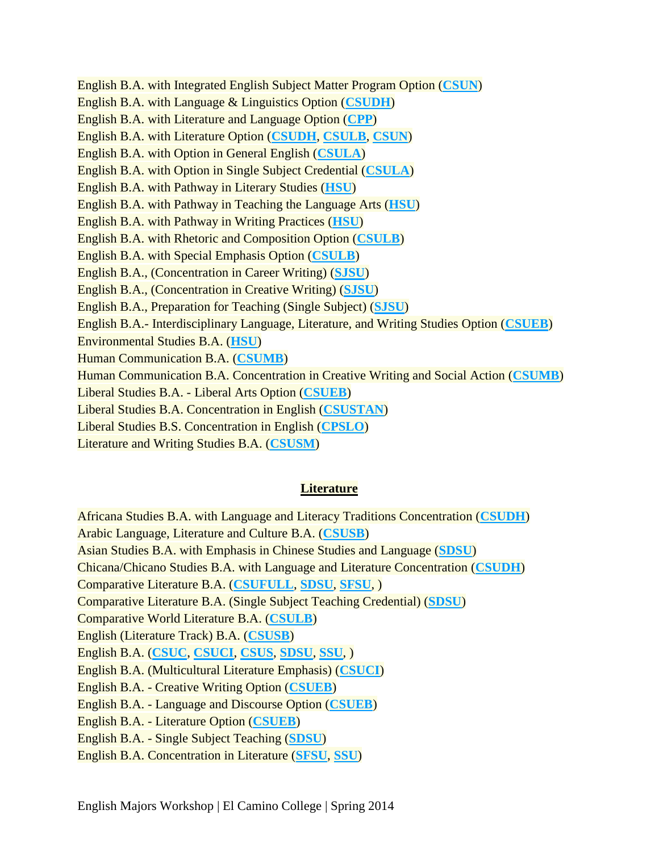English B.A. with Integrated English Subject Matter Program Option (**[CSUN](http://www2.assist.org/exploring-majors/findMajorDescription.do?abbrev=CSUN&majorId=2500000008170&type=CSU)**) English B.A. with Language & Linguistics Option (**[CSUDH](http://www2.assist.org/exploring-majors/findMajorDescription.do?abbrev=CSUDH&majorId=500000007485&type=CSU)**) English B.A. with Literature and Language Option (**[CPP](http://www2.assist.org/exploring-majors/findMajorDescription.do?abbrev=CPP&majorId=500000007986&type=CSU)**) English B.A. with Literature Option (**[CSUDH](http://www2.assist.org/exploring-majors/findMajorDescription.do?abbrev=CSUDH&majorId=500000007486&type=CSU)**, **[CSULB](http://www2.assist.org/exploring-majors/findMajorDescription.do?abbrev=CSULB&majorId=500000007097&type=CSU)**, **[CSUN](http://www2.assist.org/exploring-majors/findMajorDescription.do?abbrev=CSUN&majorId=500000006317&type=CSU)**) English B.A. with Option in General English (**[CSULA](http://www2.assist.org/exploring-majors/findMajorDescription.do?abbrev=CSULA&majorId=500000008054&type=CSU)**) English B.A. with Option in Single Subject Credential (**[CSULA](http://www2.assist.org/exploring-majors/findMajorDescription.do?abbrev=CSULA&majorId=500000008056&type=CSU)**) English B.A. with Pathway in Literary Studies (**[HSU](http://www2.assist.org/exploring-majors/findMajorDescription.do?abbrev=HSU&majorId=2000000007788&type=CSU)**) English B.A. with Pathway in Teaching the Language Arts (**[HSU](http://www2.assist.org/exploring-majors/findMajorDescription.do?abbrev=HSU&majorId=500000007874&type=CSU)**) English B.A. with Pathway in Writing Practices (**[HSU](http://www2.assist.org/exploring-majors/findMajorDescription.do?abbrev=HSU&majorId=2000000007789&type=CSU)**) English B.A. with Rhetoric and Composition Option (**[CSULB](http://www2.assist.org/exploring-majors/findMajorDescription.do?abbrev=CSULB&majorId=500000007715&type=CSU)**) English B.A. with Special Emphasis Option (**[CSULB](http://www2.assist.org/exploring-majors/findMajorDescription.do?abbrev=CSULB&majorId=500000007716&type=CSU)**) English B.A., (Concentration in Career Writing) (**[SJSU](http://www2.assist.org/exploring-majors/findMajorDescription.do?abbrev=SJSU&majorId=2000000007738&type=CSU)**) English B.A., (Concentration in Creative Writing) (**[SJSU](http://www2.assist.org/exploring-majors/findMajorDescription.do?abbrev=SJSU&majorId=2500000007985&type=CSU)**) English B.A., Preparation for Teaching (Single Subject) (**[SJSU](http://www2.assist.org/exploring-majors/findMajorDescription.do?abbrev=SJSU&majorId=2000000007739&type=CSU)**) English B.A.- Interdisciplinary Language, Literature, and Writing Studies Option (**[CSUEB](http://www2.assist.org/exploring-majors/findMajorDescription.do?abbrev=CSUEB&majorId=2500000008226&type=CSU)**) Environmental Studies B.A. (**[HSU](http://www2.assist.org/exploring-majors/findMajorDescription.do?abbrev=HSU&majorId=2500000008275&type=CSU)**) Human Communication B.A. (**[CSUMB](http://www2.assist.org/exploring-majors/findMajorDescription.do?abbrev=CSUMB&majorId=500000005988&type=CSU)**) Human Communication B.A. Concentration in Creative Writing and Social Action (**[CSUMB](http://www2.assist.org/exploring-majors/findMajorDescription.do?abbrev=CSUMB&majorId=500000007727&type=CSU)**) Liberal Studies B.A. - Liberal Arts Option (**[CSUEB](http://www2.assist.org/exploring-majors/findMajorDescription.do?abbrev=CSUEB&majorId=500000008137&type=CSU)**) Liberal Studies B.A. Concentration in English (**[CSUSTAN](http://www2.assist.org/exploring-majors/findMajorDescription.do?abbrev=CSUSTAN&majorId=500000007824&type=CSU)**) Liberal Studies B.S. Concentration in English (**[CPSLO](http://www2.assist.org/exploring-majors/findMajorDescription.do?abbrev=CPSLO&majorId=2500000008490&type=CSU)**)

Literature and Writing Studies B.A. (**[CSUSM](http://www2.assist.org/exploring-majors/findMajorDescription.do?abbrev=CSUSM&majorId=500000007042&type=CSU)**)

### **Literature**

Africana Studies B.A. with Language and Literacy Traditions Concentration (**[CSUDH](http://www2.assist.org/exploring-majors/findMajorDescription.do?abbrev=CSUDH&majorId=1000000007575&type=CSU)**) Arabic Language, Literature and Culture B.A. (**[CSUSB](http://www2.assist.org/exploring-majors/findMajorDescription.do?abbrev=CSUSB&majorId=2500000007959&type=CSU)**) Asian Studies B.A. with Emphasis in Chinese Studies and Language (**[SDSU](http://www2.assist.org/exploring-majors/findMajorDescription.do?abbrev=SDSU&majorId=2500000008402&type=CSU)**) Chicana/Chicano Studies B.A. with Language and Literature Concentration (**[CSUDH](http://www2.assist.org/exploring-majors/findMajorDescription.do?abbrev=CSUDH&majorId=2500000007871&type=CSU)**) Comparative Literature B.A. (**[CSUFULL](http://www2.assist.org/exploring-majors/findMajorDescription.do?abbrev=CSUFULL&majorId=500000006700&type=CSU)**, **[SDSU](http://www2.assist.org/exploring-majors/findMajorDescription.do?abbrev=SDSU&majorId=500000006099&type=CSU)**, **[SFSU](http://www2.assist.org/exploring-majors/findMajorDescription.do?abbrev=SFSU&majorId=500000006597&type=CSU)**, ) Comparative Literature B.A. (Single Subject Teaching Credential) (**[SDSU](http://www2.assist.org/exploring-majors/findMajorDescription.do?abbrev=SDSU&majorId=2000000007633&type=CSU)**) Comparative World Literature B.A. (**[CSULB](http://www2.assist.org/exploring-majors/findMajorDescription.do?abbrev=CSULB&majorId=500000007083&type=CSU)**) English (Literature Track) B.A. (**[CSUSB](http://www2.assist.org/exploring-majors/findMajorDescription.do?abbrev=CSUSB&majorId=500000006484&type=CSU)**) English B.A. (**[CSUC](http://www2.assist.org/exploring-majors/findMajorDescription.do?abbrev=CSUC&majorId=500000006946&type=CSU)**, **[CSUCI](http://www2.assist.org/exploring-majors/findMajorDescription.do?abbrev=CSUCI&majorId=500000007023&type=CSU)**, **[CSUS](http://www2.assist.org/exploring-majors/findMajorDescription.do?abbrev=CSUS&majorId=500000006852&type=CSU)**, **[SDSU](http://www2.assist.org/exploring-majors/findMajorDescription.do?abbrev=SDSU&majorId=500000006108&type=CSU)**, **[SSU](http://www2.assist.org/exploring-majors/findMajorDescription.do?abbrev=SSU&majorId=500000006531&type=CSU)**, ) English B.A. (Multicultural Literature Emphasis) (**[CSUCI](http://www2.assist.org/exploring-majors/findMajorDescription.do?abbrev=CSUCI&majorId=1500000007591&type=CSU)**) English B.A. - Creative Writing Option (**[CSUEB](http://www2.assist.org/exploring-majors/findMajorDescription.do?abbrev=CSUEB&majorId=500000006022&type=CSU)**) English B.A. - Language and Discourse Option (**[CSUEB](http://www2.assist.org/exploring-majors/findMajorDescription.do?abbrev=CSUEB&majorId=2500000008227&type=CSU)**) English B.A. - Literature Option (**[CSUEB](http://www2.assist.org/exploring-majors/findMajorDescription.do?abbrev=CSUEB&majorId=2500000008228&type=CSU)**) English B.A. - Single Subject Teaching (**[SDSU](http://www2.assist.org/exploring-majors/findMajorDescription.do?abbrev=SDSU&majorId=500000008226&type=CSU)**) English B.A. Concentration in Literature (**[SFSU](http://www2.assist.org/exploring-majors/findMajorDescription.do?abbrev=SFSU&majorId=500000006640&type=CSU)**, **[SSU](http://www2.assist.org/exploring-majors/findMajorDescription.do?abbrev=SSU&majorId=500000006549&type=CSU)**)